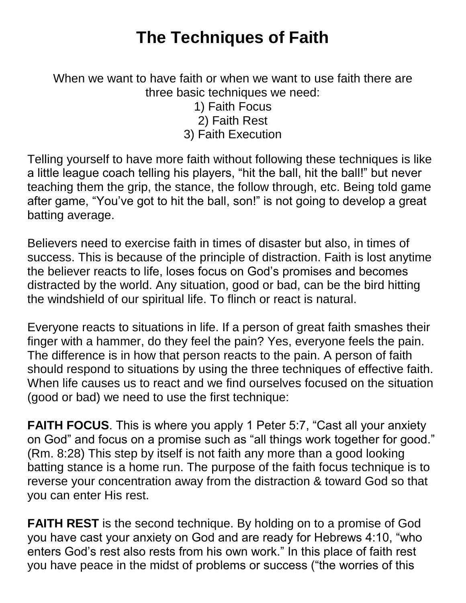## **The Techniques of Faith**

When we want to have faith or when we want to use faith there are three basic techniques we need:

> 1) Faith Focus 2) Faith Rest

3) Faith Execution

Telling yourself to have more faith without following these techniques is like a little league coach telling his players, "hit the ball, hit the ball!" but never teaching them the grip, the stance, the follow through, etc. Being told game after game, "You've got to hit the ball, son!" is not going to develop a great batting average.

Believers need to exercise faith in times of disaster but also, in times of success. This is because of the principle of distraction. Faith is lost anytime the believer reacts to life, loses focus on God's promises and becomes distracted by the world. Any situation, good or bad, can be the bird hitting the windshield of our spiritual life. To flinch or react is natural.

Everyone reacts to situations in life. If a person of great faith smashes their finger with a hammer, do they feel the pain? Yes, everyone feels the pain. The difference is in how that person reacts to the pain. A person of faith should respond to situations by using the three techniques of effective faith. When life causes us to react and we find ourselves focused on the situation (good or bad) we need to use the first technique:

**FAITH FOCUS**. This is where you apply 1 Peter 5:7, "Cast all your anxiety on God" and focus on a promise such as "all things work together for good." (Rm. 8:28) This step by itself is not faith any more than a good looking batting stance is a home run. The purpose of the faith focus technique is to reverse your concentration away from the distraction & toward God so that you can enter His rest.

**FAITH REST** is the second technique. By holding on to a promise of God you have cast your anxiety on God and are ready for Hebrews 4:10, "who enters God's rest also rests from his own work." In this place of faith rest you have peace in the midst of problems or success ("the worries of this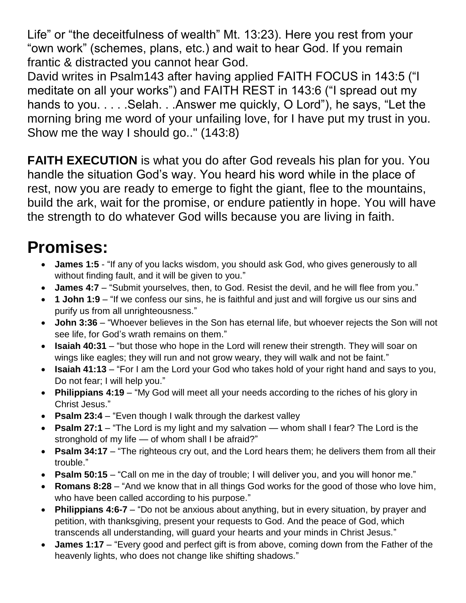Life" or "the deceitfulness of wealth" Mt. 13:23). Here you rest from your "own work" (schemes, plans, etc.) and wait to hear God. If you remain frantic & distracted you cannot hear God.

David writes in Psalm143 after having applied FAITH FOCUS in 143:5 ("I meditate on all your works") and FAITH REST in 143:6 ("I spread out my hands to you. . . . . Selah. . . Answer me quickly, O Lord"), he says, "Let the morning bring me word of your unfailing love, for I have put my trust in you. Show me the way I should go.." (143:8)

**FAITH EXECUTION** is what you do after God reveals his plan for you. You handle the situation God's way. You heard his word while in the place of rest, now you are ready to emerge to fight the giant, flee to the mountains, build the ark, wait for the promise, or endure patiently in hope. You will have the strength to do whatever God wills because you are living in faith.

## **Promises:**

- **James 1:5** "If any of you lacks wisdom, you should ask God, who gives generously to all without finding fault, and it will be given to you."
- James 4:7 "Submit yourselves, then, to God. Resist the devil, and he will flee from you."
- **1 John 1:9** "If we confess our sins, he is faithful and just and will forgive us our sins and purify us from all unrighteousness."
- **John 3:36** "Whoever believes in the Son has eternal life, but whoever rejects the Son will not see life, for God's wrath remains on them."
- **Isaiah 40:31** "but those who hope in the Lord will renew their strength. They will soar on wings like eagles; they will run and not grow weary, they will walk and not be faint."
- **Isaiah 41:13** "For I am the Lord your God who takes hold of your right hand and says to you, Do not fear; I will help you."
- **Philippians 4:19** "My God will meet all your needs according to the riches of his glory in Christ Jesus."
- **Psalm 23:4** "Even though I walk through the darkest valley
- **Psalm 27:1** "The Lord is my light and my salvation whom shall I fear? The Lord is the stronghold of my life — of whom shall I be afraid?"
- **Psalm 34:17** "The righteous cry out, and the Lord hears them; he delivers them from all their trouble."
- **Psalm 50:15** "Call on me in the day of trouble; I will deliver you, and you will honor me."
- **Romans 8:28** "And we know that in all things God works for the good of those who love him, who have been called according to his purpose."
- **Philippians 4:6-7** "Do not be anxious about anything, but in every situation, by prayer and petition, with thanksgiving, present your requests to God. And the peace of God, which transcends all understanding, will guard your hearts and your minds in Christ Jesus."
- **James 1:17** "Every good and perfect gift is from above, coming down from the Father of the heavenly lights, who does not change like shifting shadows."